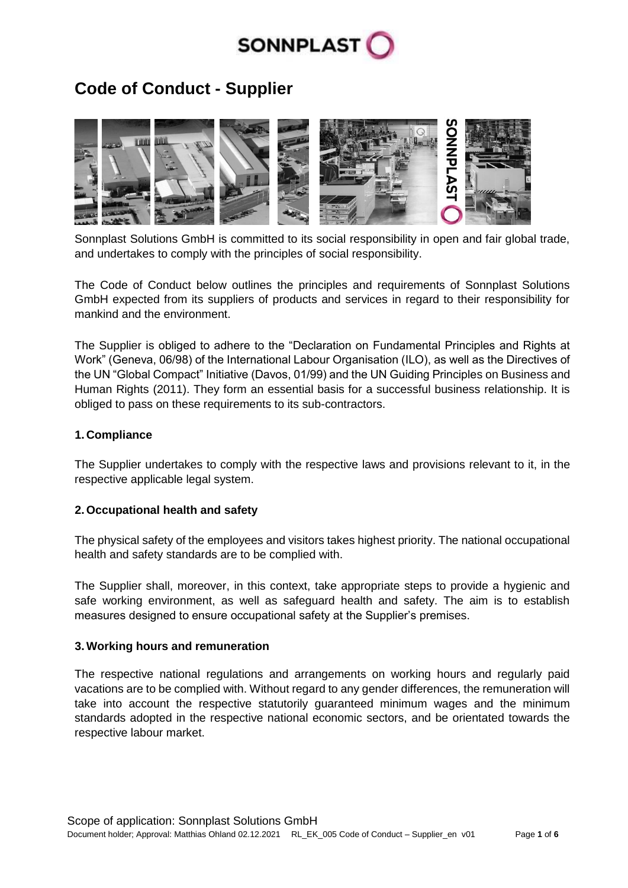

# **Code of Conduct - Supplier**



Sonnplast Solutions GmbH is committed to its social responsibility in open and fair global trade, and undertakes to comply with the principles of social responsibility.

The Code of Conduct below outlines the principles and requirements of Sonnplast Solutions GmbH expected from its suppliers of products and services in regard to their responsibility for mankind and the environment.

The Supplier is obliged to adhere to the "Declaration on Fundamental Principles and Rights at Work" (Geneva, 06/98) of the International Labour Organisation (ILO), as well as the Directives of the UN "Global Compact" Initiative (Davos, 01/99) and the UN Guiding Principles on Business and Human Rights (2011). They form an essential basis for a successful business relationship. It is obliged to pass on these requirements to its sub-contractors.

# **1. Compliance**

The Supplier undertakes to comply with the respective laws and provisions relevant to it, in the respective applicable legal system.

# **2. Occupational health and safety**

The physical safety of the employees and visitors takes highest priority. The national occupational health and safety standards are to be complied with.

The Supplier shall, moreover, in this context, take appropriate steps to provide a hygienic and safe working environment, as well as safeguard health and safety. The aim is to establish measures designed to ensure occupational safety at the Supplier's premises.

## **3.Working hours and remuneration**

The respective national regulations and arrangements on working hours and regularly paid vacations are to be complied with. Without regard to any gender differences, the remuneration will take into account the respective statutorily guaranteed minimum wages and the minimum standards adopted in the respective national economic sectors, and be orientated towards the respective labour market.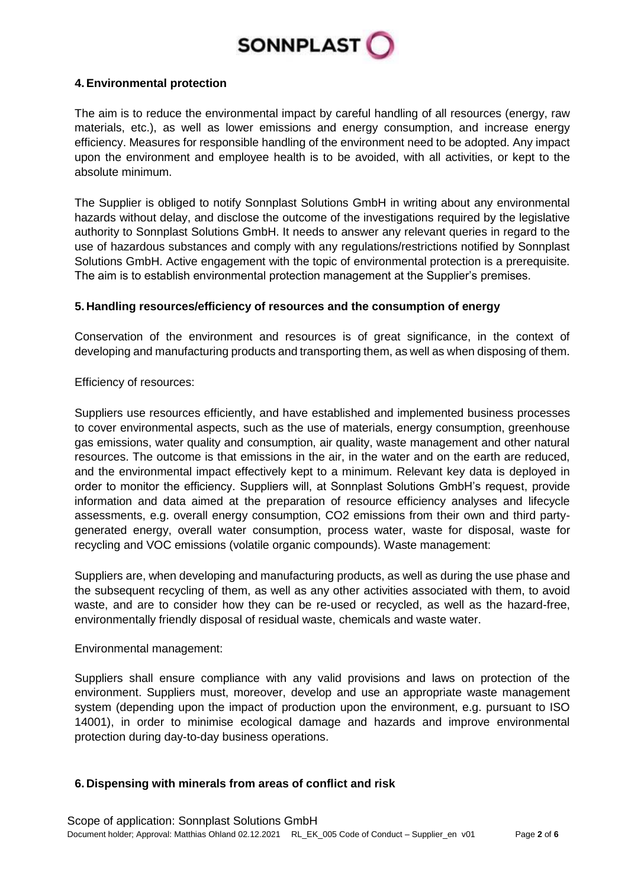

# **4.Environmental protection**

The aim is to reduce the environmental impact by careful handling of all resources (energy, raw materials, etc.), as well as lower emissions and energy consumption, and increase energy efficiency. Measures for responsible handling of the environment need to be adopted. Any impact upon the environment and employee health is to be avoided, with all activities, or kept to the absolute minimum.

The Supplier is obliged to notify Sonnplast Solutions GmbH in writing about any environmental hazards without delay, and disclose the outcome of the investigations required by the legislative authority to Sonnplast Solutions GmbH. It needs to answer any relevant queries in regard to the use of hazardous substances and comply with any regulations/restrictions notified by Sonnplast Solutions GmbH. Active engagement with the topic of environmental protection is a prerequisite. The aim is to establish environmental protection management at the Supplier's premises.

# **5. Handling resources/efficiency of resources and the consumption of energy**

Conservation of the environment and resources is of great significance, in the context of developing and manufacturing products and transporting them, as well as when disposing of them.

Efficiency of resources:

Suppliers use resources efficiently, and have established and implemented business processes to cover environmental aspects, such as the use of materials, energy consumption, greenhouse gas emissions, water quality and consumption, air quality, waste management and other natural resources. The outcome is that emissions in the air, in the water and on the earth are reduced, and the environmental impact effectively kept to a minimum. Relevant key data is deployed in order to monitor the efficiency. Suppliers will, at Sonnplast Solutions GmbH's request, provide information and data aimed at the preparation of resource efficiency analyses and lifecycle assessments, e.g. overall energy consumption, CO2 emissions from their own and third partygenerated energy, overall water consumption, process water, waste for disposal, waste for recycling and VOC emissions (volatile organic compounds). Waste management:

Suppliers are, when developing and manufacturing products, as well as during the use phase and the subsequent recycling of them, as well as any other activities associated with them, to avoid waste, and are to consider how they can be re-used or recycled, as well as the hazard-free, environmentally friendly disposal of residual waste, chemicals and waste water.

# Environmental management:

Suppliers shall ensure compliance with any valid provisions and laws on protection of the environment. Suppliers must, moreover, develop and use an appropriate waste management system (depending upon the impact of production upon the environment, e.g. pursuant to ISO 14001), in order to minimise ecological damage and hazards and improve environmental protection during day-to-day business operations.

# **6. Dispensing with minerals from areas of conflict and risk**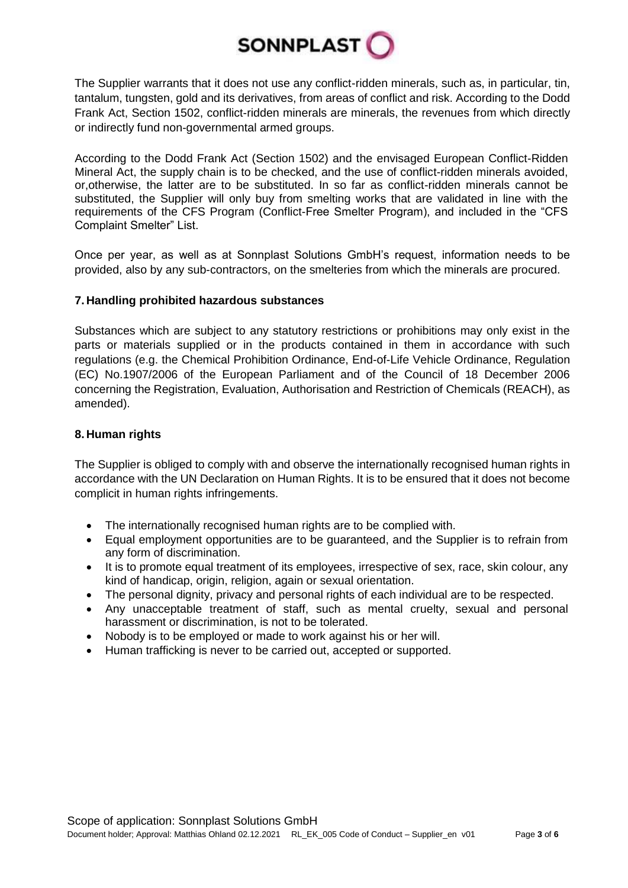

The Supplier warrants that it does not use any conflict-ridden minerals, such as, in particular, tin, tantalum, tungsten, gold and its derivatives, from areas of conflict and risk. According to the Dodd Frank Act, Section 1502, conflict-ridden minerals are minerals, the revenues from which directly or indirectly fund non-governmental armed groups.

According to the Dodd Frank Act (Section 1502) and the envisaged European Conflict-Ridden Mineral Act, the supply chain is to be checked, and the use of conflict-ridden minerals avoided, or,otherwise, the latter are to be substituted. In so far as conflict-ridden minerals cannot be substituted, the Supplier will only buy from smelting works that are validated in line with the requirements of the CFS Program (Conflict-Free Smelter Program), and included in the "CFS Complaint Smelter" List.

Once per year, as well as at Sonnplast Solutions GmbH's request, information needs to be provided, also by any sub-contractors, on the smelteries from which the minerals are procured.

## **7. Handling prohibited hazardous substances**

Substances which are subject to any statutory restrictions or prohibitions may only exist in the parts or materials supplied or in the products contained in them in accordance with such regulations (e.g. the Chemical Prohibition Ordinance, End-of-Life Vehicle Ordinance, Regulation (EC) No.1907/2006 of the European Parliament and of the Council of 18 December 2006 concerning the Registration, Evaluation, Authorisation and Restriction of Chemicals (REACH), as amended).

## **8. Human rights**

The Supplier is obliged to comply with and observe the internationally recognised human rights in accordance with the UN Declaration on Human Rights. It is to be ensured that it does not become complicit in human rights infringements.

- The internationally recognised human rights are to be complied with.
- Equal employment opportunities are to be guaranteed, and the Supplier is to refrain from any form of discrimination.
- It is to promote equal treatment of its employees, irrespective of sex, race, skin colour, any kind of handicap, origin, religion, again or sexual orientation.
- The personal dignity, privacy and personal rights of each individual are to be respected.
- Any unacceptable treatment of staff, such as mental cruelty, sexual and personal harassment or discrimination, is not to be tolerated.
- Nobody is to be employed or made to work against his or her will.
- Human trafficking is never to be carried out, accepted or supported.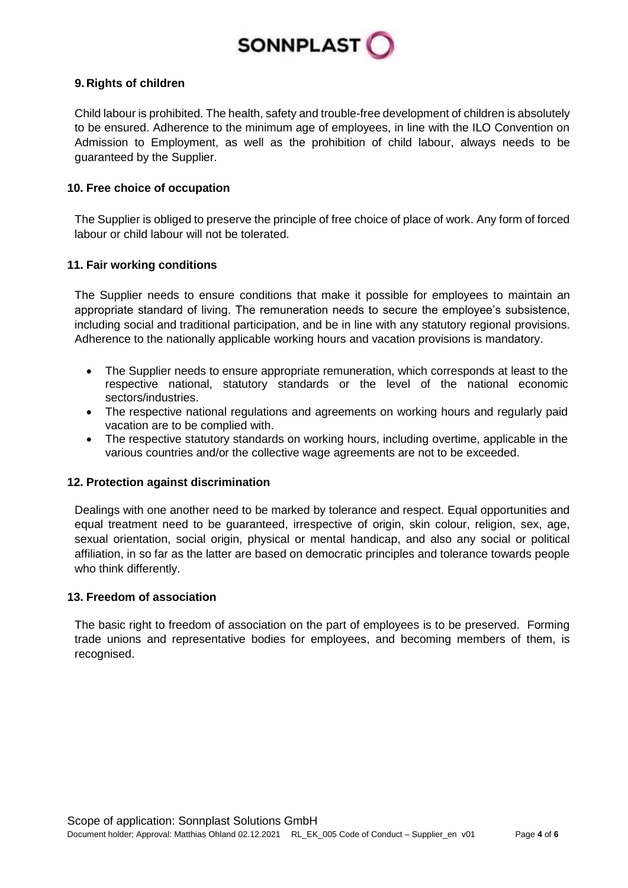

# **9. Rights of children**

Child labour is prohibited. The health, safety and trouble-free development of children is absolutely to be ensured. Adherence to the minimum age of employees, in line with the ILO Convention on Admission to Employment, as well as the prohibition of child labour, always needs to be guaranteed by the Supplier.

#### **10. Free choice of occupation**

The Supplier is obliged to preserve the principle of free choice of place of work. Any form of forced labour or child labour will not be tolerated.

## **11. Fair working conditions**

The Supplier needs to ensure conditions that make it possible for employees to maintain an appropriate standard of living. The remuneration needs to secure the employee's subsistence, including social and traditional participation, and be in line with any statutory regional provisions. Adherence to the nationally applicable working hours and vacation provisions is mandatory.

- The Supplier needs to ensure appropriate remuneration, which corresponds at least to the respective national, statutory standards or the level of the national economic sectors/industries.
- The respective national regulations and agreements on working hours and regularly paid vacation are to be complied with.
- The respective statutory standards on working hours, including overtime, applicable in the various countries and/or the collective wage agreements are not to be exceeded.

#### **12. Protection against discrimination**

Dealings with one another need to be marked by tolerance and respect. Equal opportunities and equal treatment need to be guaranteed, irrespective of origin, skin colour, religion, sex, age, sexual orientation, social origin, physical or mental handicap, and also any social or political affiliation, in so far as the latter are based on democratic principles and tolerance towards people who think differently.

## **13. Freedom of association**

The basic right to freedom of association on the part of employees is to be preserved. Forming trade unions and representative bodies for employees, and becoming members of them, is recognised.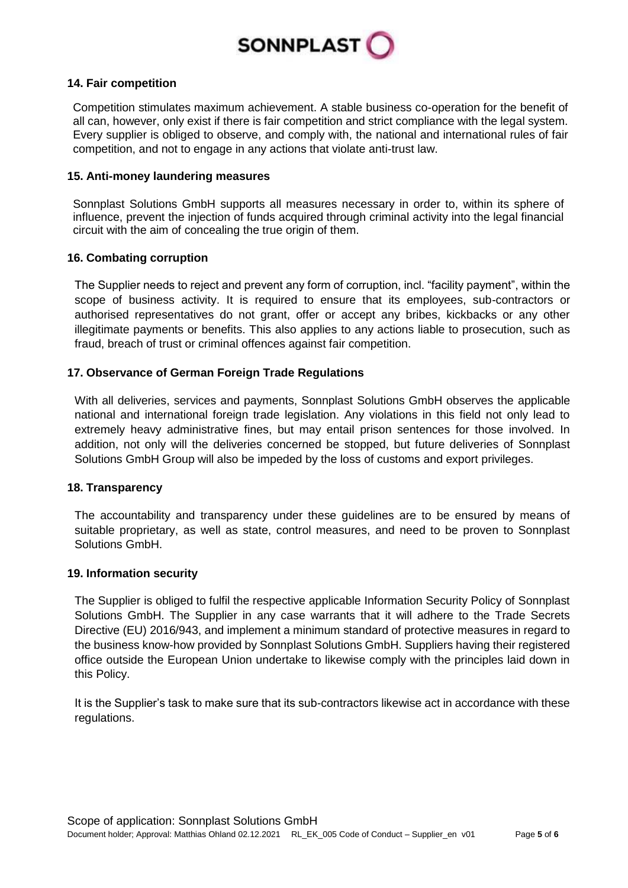

## **14. Fair competition**

Competition stimulates maximum achievement. A stable business co-operation for the benefit of all can, however, only exist if there is fair competition and strict compliance with the legal system. Every supplier is obliged to observe, and comply with, the national and international rules of fair competition, and not to engage in any actions that violate anti-trust law.

#### **15. Anti-money laundering measures**

Sonnplast Solutions GmbH supports all measures necessary in order to, within its sphere of influence, prevent the injection of funds acquired through criminal activity into the legal financial circuit with the aim of concealing the true origin of them.

## **16. Combating corruption**

The Supplier needs to reject and prevent any form of corruption, incl. "facility payment", within the scope of business activity. It is required to ensure that its employees, sub-contractors or authorised representatives do not grant, offer or accept any bribes, kickbacks or any other illegitimate payments or benefits. This also applies to any actions liable to prosecution, such as fraud, breach of trust or criminal offences against fair competition.

## **17. Observance of German Foreign Trade Regulations**

With all deliveries, services and payments, Sonnplast Solutions GmbH observes the applicable national and international foreign trade legislation. Any violations in this field not only lead to extremely heavy administrative fines, but may entail prison sentences for those involved. In addition, not only will the deliveries concerned be stopped, but future deliveries of Sonnplast Solutions GmbH Group will also be impeded by the loss of customs and export privileges.

#### **18. Transparency**

The accountability and transparency under these guidelines are to be ensured by means of suitable proprietary, as well as state, control measures, and need to be proven to Sonnplast Solutions GmbH.

#### **19. Information security**

The Supplier is obliged to fulfil the respective applicable Information Security Policy of Sonnplast Solutions GmbH. The Supplier in any case warrants that it will adhere to the Trade Secrets Directive (EU) 2016/943, and implement a minimum standard of protective measures in regard to the business know-how provided by Sonnplast Solutions GmbH. Suppliers having their registered office outside the European Union undertake to likewise comply with the principles laid down in this Policy.

It is the Supplier's task to make sure that its sub-contractors likewise act in accordance with these regulations.